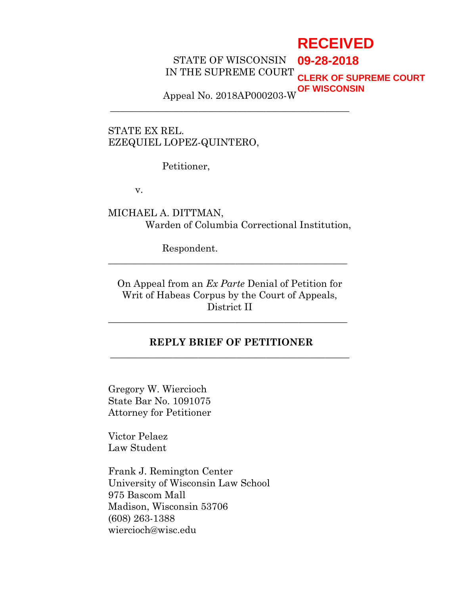# **RECEIVED**

STATE OF WISCONSIN IN THE SUPREME COURT **09-28-2018 CLERK OF SUPREME COURT**

Appeal No. 2018AP000203-W **OF WISCONSIN**

**\_\_\_\_\_\_\_\_\_\_\_\_\_\_\_\_\_\_\_\_\_\_\_\_\_\_\_\_\_\_\_\_\_\_\_\_\_\_\_\_\_\_\_\_\_\_\_\_\_**

STATE EX REL. EZEQUIEL LOPEZ-QUINTERO,

Petitioner,

v.

MICHAEL A. DITTMAN, Warden of Columbia Correctional Institution,

Respondent.

On Appeal from an *Ex Parte* Denial of Petition for Writ of Habeas Corpus by the Court of Appeals, District II

**\_\_\_\_\_\_\_\_\_\_\_\_\_\_\_\_\_\_\_\_\_\_\_\_\_\_\_\_\_\_\_\_\_\_\_\_\_\_\_\_\_\_\_\_\_\_\_\_\_**

**\_\_\_\_\_\_\_\_\_\_\_\_\_\_\_\_\_\_\_\_\_\_\_\_\_\_\_\_\_\_\_\_\_\_\_\_\_\_\_\_\_\_\_\_\_\_\_\_\_**

### **REPLY BRIEF OF PETITIONER \_\_\_\_\_\_\_\_\_\_\_\_\_\_\_\_\_\_\_\_\_\_\_\_\_\_\_\_\_\_\_\_\_\_\_\_\_\_\_\_\_\_\_\_\_\_\_\_\_**

Gregory W. Wiercioch State Bar No. 1091075 Attorney for Petitioner

Victor Pelaez Law Student

Frank J. Remington Center University of Wisconsin Law School 975 Bascom Mall Madison, Wisconsin 53706 (608) 263-1388 wiercioch@wisc.edu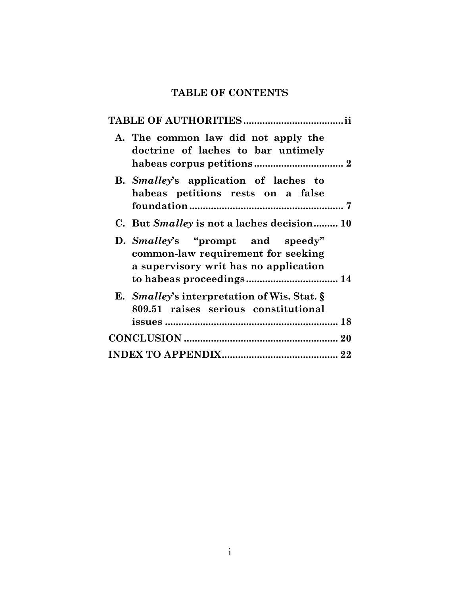# **TABLE OF CONTENTS**

| A. The common law did not apply the<br>doctrine of laches to bar untimely                                       |
|-----------------------------------------------------------------------------------------------------------------|
| B. Smalley's application of laches to<br>habeas petitions rests on a false                                      |
| C. But <i>Smalley</i> is not a laches decision 10                                                               |
| D. Smalley's "prompt and speedy"<br>common-law requirement for seeking<br>a supervisory writ has no application |
| E. Smalley's interpretation of Wis. Stat. §<br>809.51 raises serious constitutional                             |
|                                                                                                                 |
|                                                                                                                 |
|                                                                                                                 |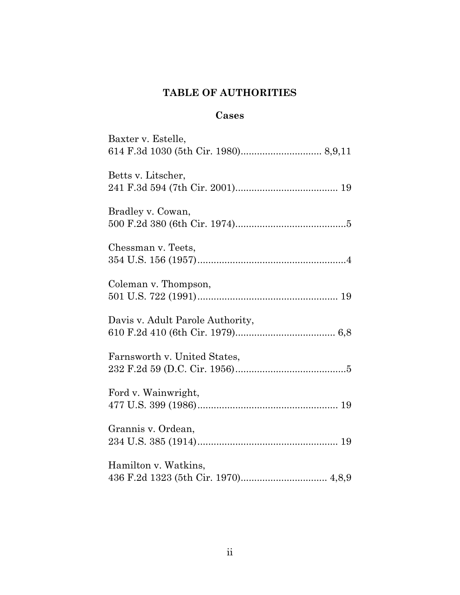# **TABLE OF AUTHORITIES**

# **Cases**

| Baxter v. Estelle,               |
|----------------------------------|
|                                  |
| Betts v. Litscher,               |
|                                  |
| Bradley v. Cowan,                |
|                                  |
| Chessman v. Teets,               |
|                                  |
| Coleman v. Thompson,             |
|                                  |
| Davis v. Adult Parole Authority, |
|                                  |
| Farnsworth v. United States,     |
|                                  |
| Ford v. Wainwright,              |
|                                  |
| Grannis v. Ordean,               |
|                                  |
| Hamilton v. Watkins,             |
|                                  |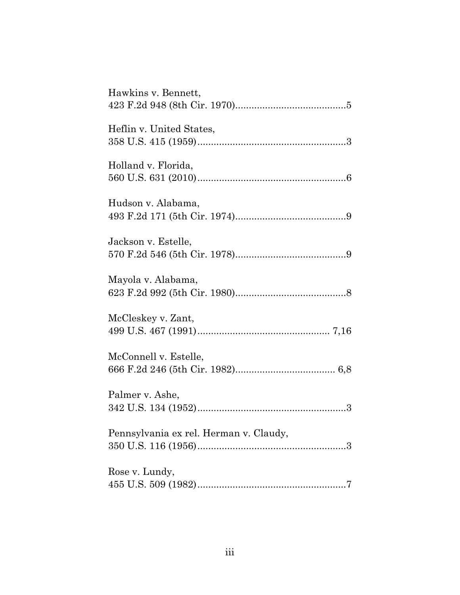| Hawkins v. Bennett,                    |
|----------------------------------------|
| Heflin v. United States,               |
| Holland v. Florida,                    |
| Hudson v. Alabama,                     |
| Jackson v. Estelle,                    |
| Mayola v. Alabama,                     |
| McCleskey v. Zant,                     |
| McConnell v. Estelle,                  |
| Palmer v. Ashe,                        |
| Pennsylvania ex rel. Herman v. Claudy, |
| Rose v. Lundy,                         |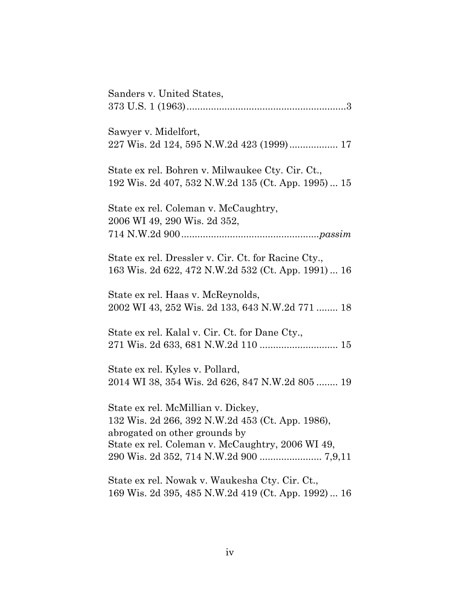| Sanders v. United States,                                                                                                                                                   |
|-----------------------------------------------------------------------------------------------------------------------------------------------------------------------------|
| Sawyer v. Midelfort,<br>227 Wis. 2d 124, 595 N.W.2d 423 (1999) 17                                                                                                           |
| State ex rel. Bohren v. Milwaukee Cty. Cir. Ct.,<br>192 Wis. 2d 407, 532 N.W.2d 135 (Ct. App. 1995)  15                                                                     |
| State ex rel. Coleman v. McCaughtry,<br>2006 WI 49, 290 Wis. 2d 352,                                                                                                        |
| State ex rel. Dressler v. Cir. Ct. for Racine Cty.,<br>163 Wis. 2d 622, 472 N.W.2d 532 (Ct. App. 1991)  16                                                                  |
| State ex rel. Haas v. McReynolds,<br>2002 WI 43, 252 Wis. 2d 133, 643 N.W.2d 771  18                                                                                        |
| State ex rel. Kalal v. Cir. Ct. for Dane Cty.,                                                                                                                              |
| State ex rel. Kyles v. Pollard,<br>2014 WI 38, 354 Wis. 2d 626, 847 N.W.2d 805  19                                                                                          |
| State ex rel. McMillian v. Dickey,<br>132 Wis. 2d 266, 392 N.W.2d 453 (Ct. App. 1986),<br>abrogated on other grounds by<br>State ex rel. Coleman v. McCaughtry, 2006 WI 49, |
| State ex rel. Nowak v. Waukesha Cty. Cir. Ct.,<br>169 Wis. 2d 395, 485 N.W.2d 419 (Ct. App. 1992)  16                                                                       |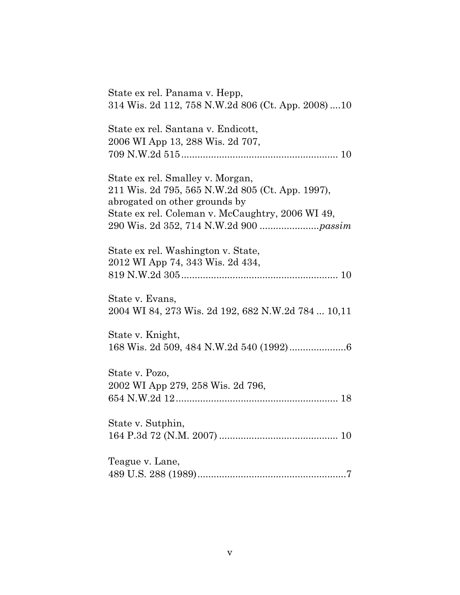| State ex rel. Panama v. Hepp,<br>314 Wis. 2d 112, 758 N.W.2d 806 (Ct. App. 2008) 10                                                                                       |
|---------------------------------------------------------------------------------------------------------------------------------------------------------------------------|
| State ex rel. Santana v. Endicott,<br>2006 WI App 13, 288 Wis. 2d 707,                                                                                                    |
| State ex rel. Smalley v. Morgan,<br>211 Wis. 2d 795, 565 N.W.2d 805 (Ct. App. 1997),<br>abrogated on other grounds by<br>State ex rel. Coleman v. McCaughtry, 2006 WI 49, |
| State ex rel. Washington v. State,<br>2012 WI App 74, 343 Wis. 2d 434,                                                                                                    |
| State v. Evans,<br>2004 WI 84, 273 Wis. 2d 192, 682 N.W.2d 784  10,11                                                                                                     |
| State v. Knight,                                                                                                                                                          |
| State v. Pozo,<br>2002 WI App 279, 258 Wis. 2d 796,                                                                                                                       |
| State v. Sutphin,                                                                                                                                                         |
| Teague v. Lane,                                                                                                                                                           |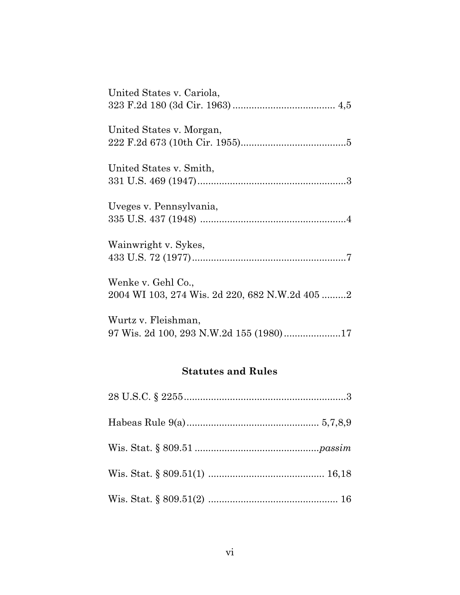| United States v. Cariola,                      |  |
|------------------------------------------------|--|
|                                                |  |
| United States v. Morgan,                       |  |
|                                                |  |
|                                                |  |
| United States v. Smith,                        |  |
|                                                |  |
| Uveges v. Pennsylvania,                        |  |
|                                                |  |
|                                                |  |
| Wainwright v. Sykes,                           |  |
|                                                |  |
| Wenke v. Gehl Co.,                             |  |
| 2004 WI 103, 274 Wis. 2d 220, 682 N.W.2d 405 2 |  |
|                                                |  |
| Wurtz v. Fleishman,                            |  |
| 97 Wis. 2d 100, 293 N.W.2d 155 (1980)17        |  |

# **Statutes and Rules**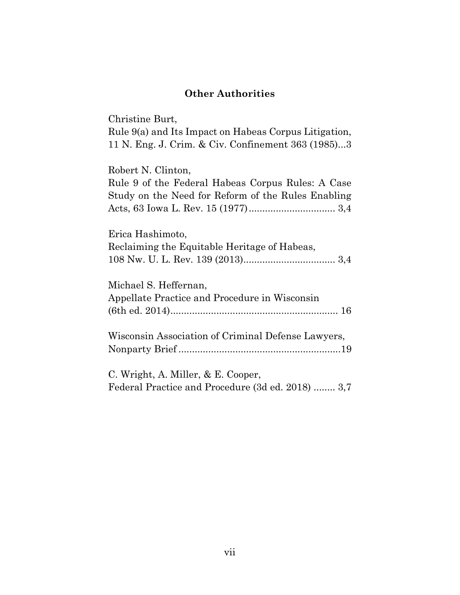# **Other Authorities**

Christine Burt,

Rule 9(a) and Its Impact on Habeas Corpus Litigation, 11 N. Eng. J. Crim. & Civ. Confinement 363 (1985)...3

Robert N. Clinton,

| Rule 9 of the Federal Habeas Corpus Rules: A Case  |
|----------------------------------------------------|
| Study on the Need for Reform of the Rules Enabling |
|                                                    |
| Erica Hashimoto,                                   |
|                                                    |
| Reclaiming the Equitable Heritage of Habeas,       |
|                                                    |
|                                                    |
| Michael S. Heffernan,                              |
| Appellate Practice and Procedure in Wisconsin      |
|                                                    |
|                                                    |
| Wisconsin Association of Criminal Defense Lawyers, |
|                                                    |
|                                                    |

C. Wright, A. Miller, & E. Cooper, Federal Practice and Procedure (3d ed. 2018) ........ 3,7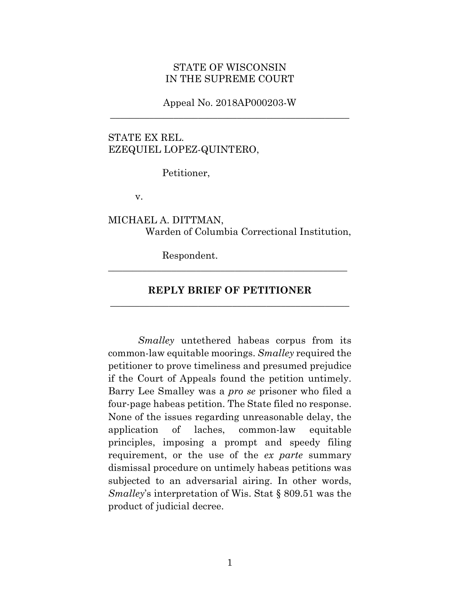#### STATE OF WISCONSIN IN THE SUPREME COURT

#### Appeal No. 2018AP000203-W **\_\_\_\_\_\_\_\_\_\_\_\_\_\_\_\_\_\_\_\_\_\_\_\_\_\_\_\_\_\_\_\_\_\_\_\_\_\_\_\_\_\_\_\_\_\_\_\_\_**

### STATE EX REL. EZEQUIEL LOPEZ-QUINTERO,

Petitioner,

v.

#### MICHAEL A. DITTMAN, Warden of Columbia Correctional Institution,

Respondent.

#### **REPLY BRIEF OF PETITIONER \_\_\_\_\_\_\_\_\_\_\_\_\_\_\_\_\_\_\_\_\_\_\_\_\_\_\_\_\_\_\_\_\_\_\_\_\_\_\_\_\_\_\_\_\_\_\_\_\_**

**\_\_\_\_\_\_\_\_\_\_\_\_\_\_\_\_\_\_\_\_\_\_\_\_\_\_\_\_\_\_\_\_\_\_\_\_\_\_\_\_\_\_\_\_\_\_\_\_\_**

*Smalley* untethered habeas corpus from its common-law equitable moorings. *Smalley* required the petitioner to prove timeliness and presumed prejudice if the Court of Appeals found the petition untimely. Barry Lee Smalley was a *pro se* prisoner who filed a four-page habeas petition. The State filed no response. None of the issues regarding unreasonable delay, the application of laches, common-law equitable principles, imposing a prompt and speedy filing requirement, or the use of the *ex parte* summary dismissal procedure on untimely habeas petitions was subjected to an adversarial airing. In other words, *Smalley*'s interpretation of Wis. Stat § 809.51 was the product of judicial decree.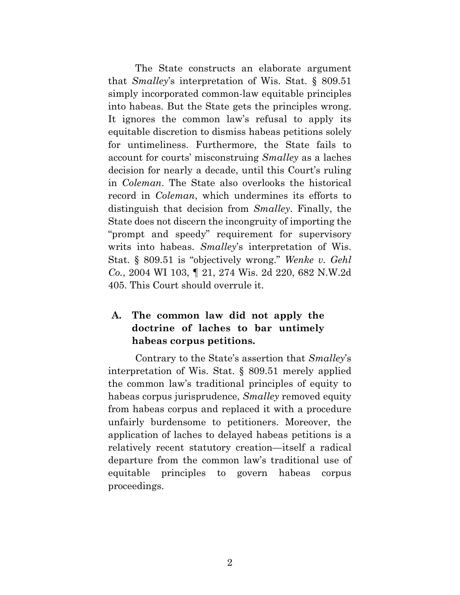The State constructs an elaborate argument that *Smalley*'s interpretation of Wis. Stat. § 809.51 simply incorporated common-law equitable principles into habeas. But the State gets the principles wrong. It ignores the common law's refusal to apply its equitable discretion to dismiss habeas petitions solely for untimeliness. Furthermore, the State fails to account for courts' misconstruing *Smalley* as a laches decision for nearly a decade, until this Court's ruling in *Coleman*. The State also overlooks the historical record in *Coleman*, which undermines its efforts to distinguish that decision from *Smalley*. Finally, the State does not discern the incongruity of importing the "prompt and speedy" requirement for supervisory writs into habeas. *Smalley*'s interpretation of Wis. Stat. § 809.51 is "objectively wrong." *Wenke v. Gehl Co.*, 2004 WI 103, ¶ 21, 274 Wis. 2d 220, 682 N.W.2d 405. This Court should overrule it.

# **A. The common law did not apply the doctrine of laches to bar untimely habeas corpus petitions.**

Contrary to the State's assertion that *Smalley*'s interpretation of Wis. Stat. § 809.51 merely applied the common law's traditional principles of equity to habeas corpus jurisprudence, *Smalley* removed equity from habeas corpus and replaced it with a procedure unfairly burdensome to petitioners. Moreover, the application of laches to delayed habeas petitions is a relatively recent statutory creation—itself a radical departure from the common law's traditional use of equitable principles to govern habeas corpus proceedings.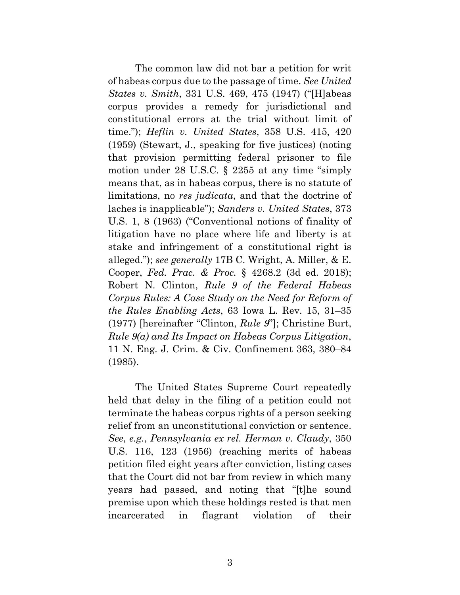The common law did not bar a petition for writ of habeas corpus due to the passage of time. *See United States v. Smith*, 331 U.S. 469, 475 (1947) ("[H]abeas corpus provides a remedy for jurisdictional and constitutional errors at the trial without limit of time."); *Heflin v. United States*, 358 U.S. 415, 420 (1959) (Stewart, J., speaking for five justices) (noting that provision permitting federal prisoner to file motion under 28 U.S.C. § 2255 at any time "simply means that, as in habeas corpus, there is no statute of limitations, no *res judicata*, and that the doctrine of laches is inapplicable"); *Sanders v. United States*, 373 U.S. 1, 8 (1963) ("Conventional notions of finality of litigation have no place where life and liberty is at stake and infringement of a constitutional right is alleged."); *see generally* 17B C. Wright, A. Miller, & E. Cooper, *Fed. Prac. & Proc.* § 4268.2 (3d ed. 2018); Robert N. Clinton, *Rule 9 of the Federal Habeas Corpus Rules: A Case Study on the Need for Reform of the Rules Enabling Acts*, 63 Iowa L. Rev. 15, 31–35 (1977) [hereinafter "Clinton, *Rule 9*"]; Christine Burt, *Rule 9(a) and Its Impact on Habeas Corpus Litigation*, 11 N. Eng. J. Crim. & Civ. Confinement 363, 380–84 (1985).

The United States Supreme Court repeatedly held that delay in the filing of a petition could not terminate the habeas corpus rights of a person seeking relief from an unconstitutional conviction or sentence. *See*, *e.g.*, *Pennsylvania ex rel. Herman v. Claudy*, 350 U.S. 116, 123 (1956) (reaching merits of habeas petition filed eight years after conviction, listing cases that the Court did not bar from review in which many years had passed, and noting that "[t]he sound premise upon which these holdings rested is that men incarcerated in flagrant violation of their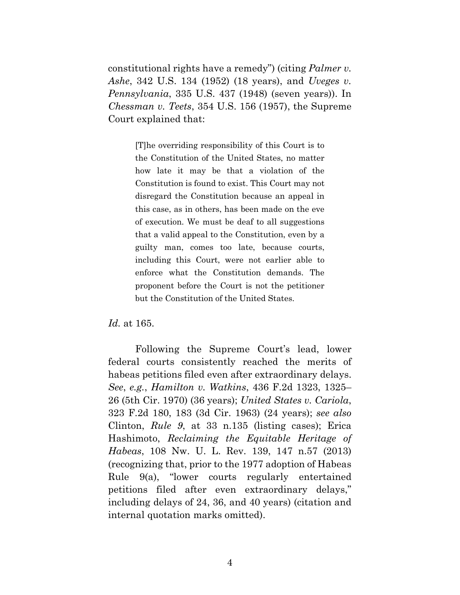constitutional rights have a remedy") (citing *Palmer v. Ashe*, 342 U.S. 134 (1952) (18 years), and *Uveges v. Pennsylvania*, 335 U.S. 437 (1948) (seven years)). In *Chessman v. Teets*, 354 U.S. 156 (1957), the Supreme Court explained that:

> [T]he overriding responsibility of this Court is to the Constitution of the United States, no matter how late it may be that a violation of the Constitution is found to exist. This Court may not disregard the Constitution because an appeal in this case, as in others, has been made on the eve of execution. We must be deaf to all suggestions that a valid appeal to the Constitution, even by a guilty man, comes too late, because courts, including this Court, were not earlier able to enforce what the Constitution demands. The proponent before the Court is not the petitioner but the Constitution of the United States.

*Id.* at 165.

Following the Supreme Court's lead, lower federal courts consistently reached the merits of habeas petitions filed even after extraordinary delays. *See*, *e.g.*, *Hamilton v. Watkins*, 436 F.2d 1323, 1325– 26 (5th Cir. 1970) (36 years); *United States v. Cariola*, 323 F.2d 180, 183 (3d Cir. 1963) (24 years); *see also* Clinton, *Rule 9*, at 33 n.135 (listing cases); Erica Hashimoto, *Reclaiming the Equitable Heritage of Habeas*, 108 Nw. U. L. Rev. 139, 147 n.57 (2013) (recognizing that, prior to the 1977 adoption of Habeas Rule 9(a), "lower courts regularly entertained petitions filed after even extraordinary delays," including delays of 24, 36, and 40 years) (citation and internal quotation marks omitted).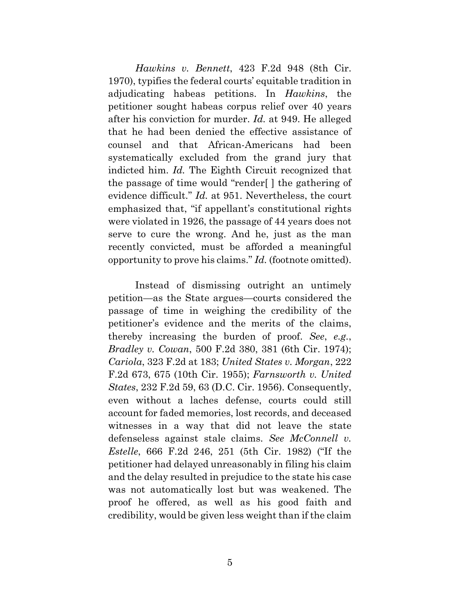*Hawkins v. Bennett*, 423 F.2d 948 (8th Cir. 1970), typifies the federal courts' equitable tradition in adjudicating habeas petitions. In *Hawkins*, the petitioner sought habeas corpus relief over 40 years after his conviction for murder. *Id.* at 949. He alleged that he had been denied the effective assistance of counsel and that African-Americans had been systematically excluded from the grand jury that indicted him. *Id.* The Eighth Circuit recognized that the passage of time would "render[ ] the gathering of evidence difficult." *Id.* at 951. Nevertheless, the court emphasized that, "if appellant's constitutional rights were violated in 1926, the passage of 44 years does not serve to cure the wrong. And he, just as the man recently convicted, must be afforded a meaningful opportunity to prove his claims." *Id.* (footnote omitted).

Instead of dismissing outright an untimely petition—as the State argues—courts considered the passage of time in weighing the credibility of the petitioner's evidence and the merits of the claims, thereby increasing the burden of proof. *See*, *e.g.*, *Bradley v. Cowan*, 500 F.2d 380, 381 (6th Cir. 1974); *Cariola*, 323 F.2d at 183; *United States v. Morgan*, 222 F.2d 673, 675 (10th Cir. 1955); *Farnsworth v. United States*, 232 F.2d 59, 63 (D.C. Cir. 1956). Consequently, even without a laches defense, courts could still account for faded memories, lost records, and deceased witnesses in a way that did not leave the state defenseless against stale claims. *See McConnell v. Estelle*, 666 F.2d 246, 251 (5th Cir. 1982) ("If the petitioner had delayed unreasonably in filing his claim and the delay resulted in prejudice to the state his case was not automatically lost but was weakened. The proof he offered, as well as his good faith and credibility, would be given less weight than if the claim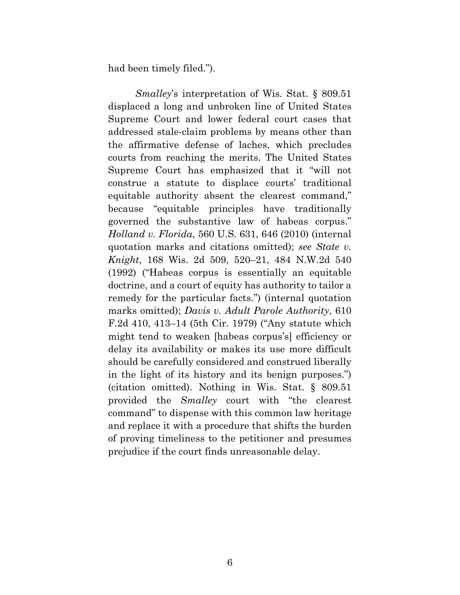had been timely filed.").

*Smalley*'s interpretation of Wis. Stat. § 809.51 displaced a long and unbroken line of United States Supreme Court and lower federal court cases that addressed stale-claim problems by means other than the affirmative defense of laches, which precludes courts from reaching the merits. The United States Supreme Court has emphasized that it "will not construe a statute to displace courts' traditional equitable authority absent the clearest command," because "equitable principles have traditionally governed the substantive law of habeas corpus." *Holland v. Florida*, 560 U.S. 631, 646 (2010) (internal quotation marks and citations omitted); *see State v. Knight*, 168 Wis. 2d 509, 520–21, 484 N.W.2d 540 (1992) ("Habeas corpus is essentially an equitable doctrine, and a court of equity has authority to tailor a remedy for the particular facts.") (internal quotation marks omitted); *Davis v. Adult Parole Authority*, 610 F.2d 410, 413–14 (5th Cir. 1979) ("Any statute which might tend to weaken [habeas corpus's] efficiency or delay its availability or makes its use more difficult should be carefully considered and construed liberally in the light of its history and its benign purposes.") (citation omitted). Nothing in Wis. Stat. § 809.51 provided the *Smalley* court with "the clearest command" to dispense with this common law heritage and replace it with a procedure that shifts the burden of proving timeliness to the petitioner and presumes prejudice if the court finds unreasonable delay.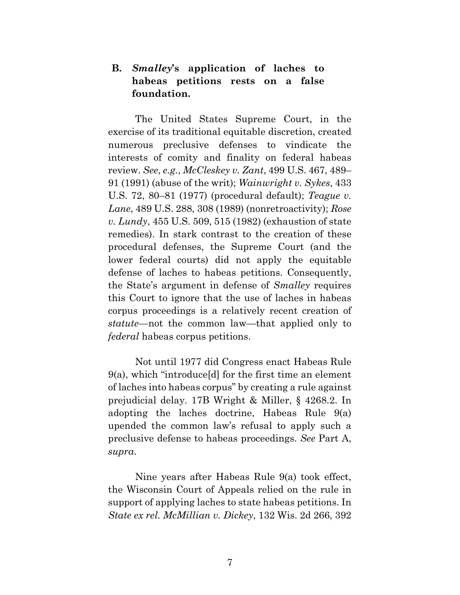## **B.** *Smalley***'s application of laches to habeas petitions rests on a false foundation.**

The United States Supreme Court, in the exercise of its traditional equitable discretion, created numerous preclusive defenses to vindicate the interests of comity and finality on federal habeas review. *See*, *e.g.*, *McCleskey v. Zant*, 499 U.S. 467, 489– 91 (1991) (abuse of the writ); *Wainwright v. Sykes*, 433 U.S. 72, 80–81 (1977) (procedural default); *Teague v. Lane*, 489 U.S. 288, 308 (1989) (nonretroactivity); *Rose v. Lundy*, 455 U.S. 509, 515 (1982) (exhaustion of state remedies). In stark contrast to the creation of these procedural defenses, the Supreme Court (and the lower federal courts) did not apply the equitable defense of laches to habeas petitions. Consequently, the State's argument in defense of *Smalley* requires this Court to ignore that the use of laches in habeas corpus proceedings is a relatively recent creation of *statute*—not the common law—that applied only to *federal* habeas corpus petitions.

Not until 1977 did Congress enact Habeas Rule 9(a), which "introduce[d] for the first time an element of laches into habeas corpus" by creating a rule against prejudicial delay. 17B Wright & Miller, § 4268.2. In adopting the laches doctrine, Habeas Rule 9(a) upended the common law's refusal to apply such a preclusive defense to habeas proceedings. *See* Part A, *supra*.

Nine years after Habeas Rule 9(a) took effect, the Wisconsin Court of Appeals relied on the rule in support of applying laches to state habeas petitions. In *State ex rel. McMillian v. Dickey*, 132 Wis. 2d 266, 392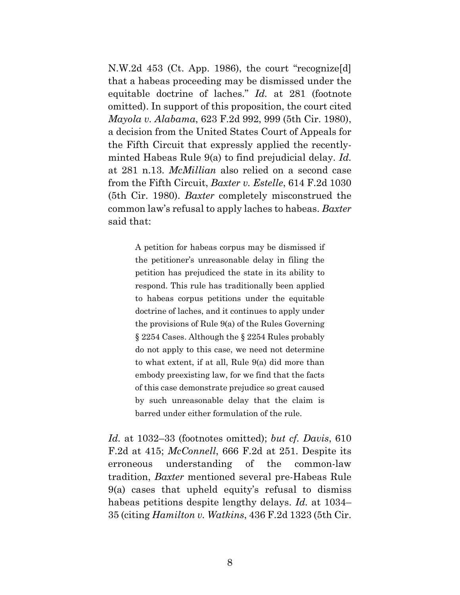N.W.2d 453 (Ct. App. 1986), the court "recognize[d] that a habeas proceeding may be dismissed under the equitable doctrine of laches." *Id.* at 281 (footnote omitted). In support of this proposition, the court cited *Mayola v. Alabama*, 623 F.2d 992, 999 (5th Cir. 1980), a decision from the United States Court of Appeals for the Fifth Circuit that expressly applied the recentlyminted Habeas Rule 9(a) to find prejudicial delay. *Id.* at 281 n.13. *McMillian* also relied on a second case from the Fifth Circuit, *Baxter v. Estelle*, 614 F.2d 1030 (5th Cir. 1980). *Baxter* completely misconstrued the common law's refusal to apply laches to habeas. *Baxter* said that:

> A petition for habeas corpus may be dismissed if the petitioner's unreasonable delay in filing the petition has prejudiced the state in its ability to respond. This rule has traditionally been applied to habeas corpus petitions under the equitable doctrine of laches, and it continues to apply under the provisions of Rule 9(a) of the Rules Governing § 2254 Cases. Although the § 2254 Rules probably do not apply to this case, we need not determine to what extent, if at all, Rule 9(a) did more than embody preexisting law, for we find that the facts of this case demonstrate prejudice so great caused by such unreasonable delay that the claim is barred under either formulation of the rule.

*Id.* at 1032–33 (footnotes omitted); *but cf. Davis*, 610 F.2d at 415; *McConnell*, 666 F.2d at 251. Despite its erroneous understanding of the common-law tradition, *Baxter* mentioned several pre-Habeas Rule 9(a) cases that upheld equity's refusal to dismiss habeas petitions despite lengthy delays. *Id.* at 1034– 35 (citing *Hamilton v. Watkins*, 436 F.2d 1323 (5th Cir.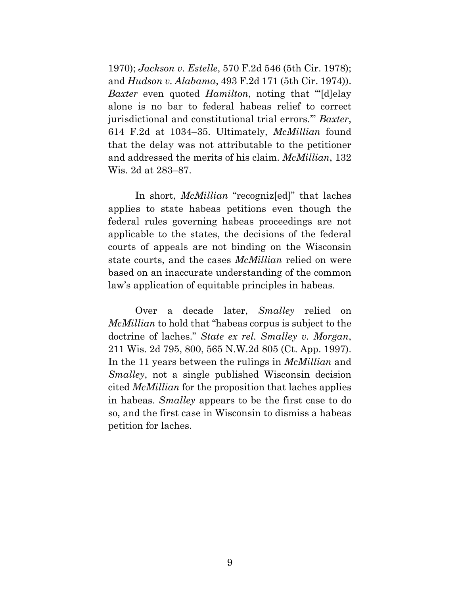1970); *Jackson v. Estelle*, 570 F.2d 546 (5th Cir. 1978); and *Hudson v. Alabama*, 493 F.2d 171 (5th Cir. 1974)). *Baxter* even quoted *Hamilton*, noting that "'[d]elay alone is no bar to federal habeas relief to correct jurisdictional and constitutional trial errors.'" *Baxter*, 614 F.2d at 1034–35. Ultimately, *McMillian* found that the delay was not attributable to the petitioner and addressed the merits of his claim. *McMillian*, 132 Wis. 2d at 283–87.

In short, *McMillian* "recogniz[ed]" that laches applies to state habeas petitions even though the federal rules governing habeas proceedings are not applicable to the states, the decisions of the federal courts of appeals are not binding on the Wisconsin state courts, and the cases *McMillian* relied on were based on an inaccurate understanding of the common law's application of equitable principles in habeas.

Over a decade later, *Smalley* relied on *McMillian* to hold that "habeas corpus is subject to the doctrine of laches." *State ex rel. Smalley v. Morgan*, 211 Wis. 2d 795, 800, 565 N.W.2d 805 (Ct. App. 1997). In the 11 years between the rulings in *McMillian* and *Smalley*, not a single published Wisconsin decision cited *McMillian* for the proposition that laches applies in habeas. *Smalley* appears to be the first case to do so, and the first case in Wisconsin to dismiss a habeas petition for laches.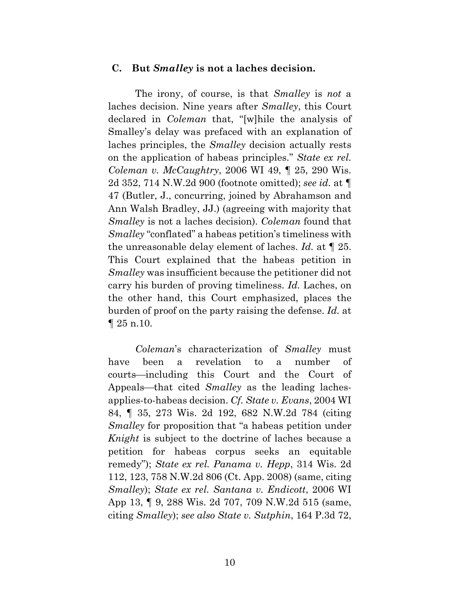#### **C. But** *Smalley* **is not a laches decision.**

The irony, of course, is that *Smalley* is *not* a laches decision. Nine years after *Smalley*, this Court declared in *Coleman* that, "[w]hile the analysis of Smalley's delay was prefaced with an explanation of laches principles, the *Smalley* decision actually rests on the application of habeas principles." *State ex rel. Coleman v. McCaughtry*, 2006 WI 49, ¶ 25, 290 Wis. 2d 352, 714 N.W.2d 900 (footnote omitted); *see id.* at ¶ 47 (Butler, J., concurring, joined by Abrahamson and Ann Walsh Bradley, JJ.) (agreeing with majority that *Smalley* is not a laches decision). *Coleman* found that *Smalley* "conflated" a habeas petition's timeliness with the unreasonable delay element of laches. *Id.* at ¶ 25. This Court explained that the habeas petition in *Smalley* was insufficient because the petitioner did not carry his burden of proving timeliness. *Id.* Laches, on the other hand, this Court emphasized, places the burden of proof on the party raising the defense. *Id.* at  $\P 25$  n.10.

*Coleman*'s characterization of *Smalley* must have been a revelation to a number of courts—including this Court and the Court of Appeals—that cited *Smalley* as the leading lachesapplies-to-habeas decision. *Cf. State v. Evans*, 2004 WI 84, ¶ 35, 273 Wis. 2d 192, 682 N.W.2d 784 (citing *Smalley* for proposition that "a habeas petition under *Knight* is subject to the doctrine of laches because a petition for habeas corpus seeks an equitable remedy"); *State ex rel. Panama v. Hepp*, 314 Wis. 2d 112, 123, 758 N.W.2d 806 (Ct. App. 2008) (same, citing *Smalley*); *State ex rel. Santana v. Endicott*, 2006 WI App 13, ¶ 9, 288 Wis. 2d 707, 709 N.W.2d 515 (same, citing *Smalley*); *see also State v. Sutphin*, 164 P.3d 72,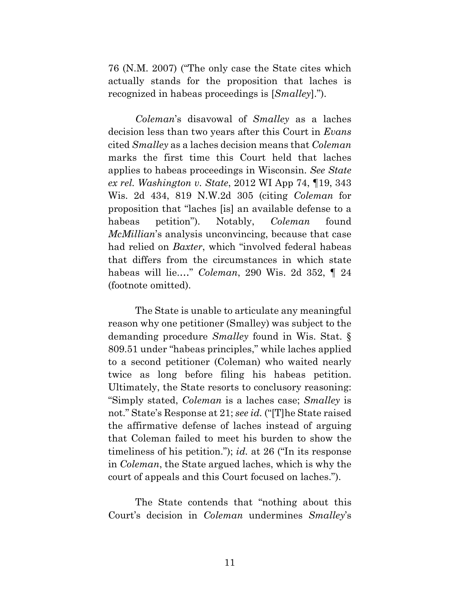76 (N.M. 2007) ("The only case the State cites which actually stands for the proposition that laches is recognized in habeas proceedings is [*Smalley*].").

*Coleman*'s disavowal of *Smalley* as a laches decision less than two years after this Court in *Evans* cited *Smalley* as a laches decision means that *Coleman* marks the first time this Court held that laches applies to habeas proceedings in Wisconsin. *See State ex rel. Washington v. State*, 2012 WI App 74, ¶19, 343 Wis. 2d 434, 819 N.W.2d 305 (citing *Coleman* for proposition that "laches [is] an available defense to a habeas petition"). Notably, *Coleman* found *McMillian*'s analysis unconvincing, because that case had relied on *Baxter*, which "involved federal habeas that differs from the circumstances in which state habeas will lie.…" *Coleman*, 290 Wis. 2d 352, ¶ 24 (footnote omitted).

The State is unable to articulate any meaningful reason why one petitioner (Smalley) was subject to the demanding procedure *Smalley* found in Wis. Stat. § 809.51 under "habeas principles," while laches applied to a second petitioner (Coleman) who waited nearly twice as long before filing his habeas petition. Ultimately, the State resorts to conclusory reasoning: "Simply stated, *Coleman* is a laches case; *Smalley* is not." State's Response at 21; *see id.* ("[T]he State raised the affirmative defense of laches instead of arguing that Coleman failed to meet his burden to show the timeliness of his petition."); *id.* at 26 ("In its response in *Coleman*, the State argued laches, which is why the court of appeals and this Court focused on laches.").

The State contends that "nothing about this Court's decision in *Coleman* undermines *Smalley*'s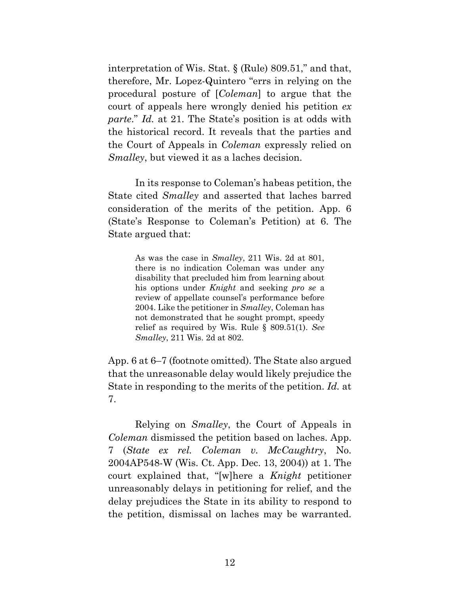interpretation of Wis. Stat. § (Rule) 809.51," and that, therefore, Mr. Lopez-Quintero "errs in relying on the procedural posture of [*Coleman*] to argue that the court of appeals here wrongly denied his petition *ex parte*." *Id.* at 21. The State's position is at odds with the historical record. It reveals that the parties and the Court of Appeals in *Coleman* expressly relied on *Smalley*, but viewed it as a laches decision.

In its response to Coleman's habeas petition, the State cited *Smalley* and asserted that laches barred consideration of the merits of the petition. App. 6 (State's Response to Coleman's Petition) at 6. The State argued that:

> As was the case in *Smalley*, 211 Wis. 2d at 801, there is no indication Coleman was under any disability that precluded him from learning about his options under *Knight* and seeking *pro se* a review of appellate counsel's performance before 2004. Like the petitioner in *Smalley*, Coleman has not demonstrated that he sought prompt, speedy relief as required by Wis. Rule § 809.51(1). *See Smalley*, 211 Wis. 2d at 802.

App. 6 at 6–7 (footnote omitted). The State also argued that the unreasonable delay would likely prejudice the State in responding to the merits of the petition. *Id.* at 7.

Relying on *Smalley*, the Court of Appeals in *Coleman* dismissed the petition based on laches. App. 7 (*State ex rel. Coleman v. McCaughtry*, No. 2004AP548-W (Wis. Ct. App. Dec. 13, 2004)) at 1. The court explained that, "[w]here a *Knight* petitioner unreasonably delays in petitioning for relief, and the delay prejudices the State in its ability to respond to the petition, dismissal on laches may be warranted.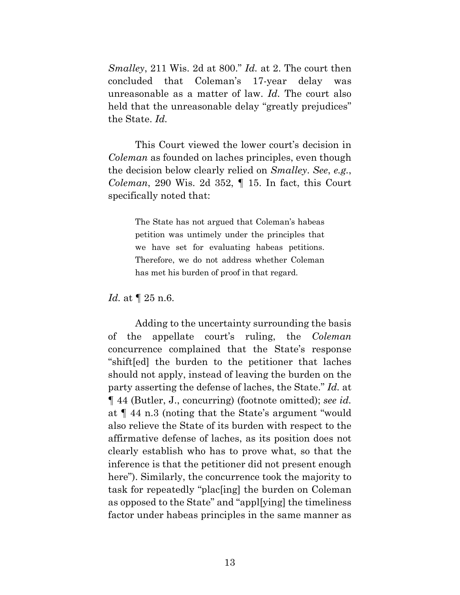*Smalley*, 211 Wis. 2d at 800." *Id.* at 2. The court then concluded that Coleman's 17-year delay was unreasonable as a matter of law. *Id.* The court also held that the unreasonable delay "greatly prejudices" the State. *Id.*

This Court viewed the lower court's decision in *Coleman* as founded on laches principles, even though the decision below clearly relied on *Smalley*. *See*, *e.g.*, *Coleman*, 290 Wis. 2d 352, ¶ 15. In fact, this Court specifically noted that:

> The State has not argued that Coleman's habeas petition was untimely under the principles that we have set for evaluating habeas petitions. Therefore, we do not address whether Coleman has met his burden of proof in that regard.

*Id.* at ¶ 25 n.6.

Adding to the uncertainty surrounding the basis of the appellate court's ruling, the *Coleman* concurrence complained that the State's response "shift[ed] the burden to the petitioner that laches should not apply, instead of leaving the burden on the party asserting the defense of laches, the State." *Id.* at ¶ 44 (Butler, J., concurring) (footnote omitted); *see id.* at ¶ 44 n.3 (noting that the State's argument "would also relieve the State of its burden with respect to the affirmative defense of laches, as its position does not clearly establish who has to prove what, so that the inference is that the petitioner did not present enough here"). Similarly, the concurrence took the majority to task for repeatedly "plac[ing] the burden on Coleman as opposed to the State" and "appl[ying] the timeliness factor under habeas principles in the same manner as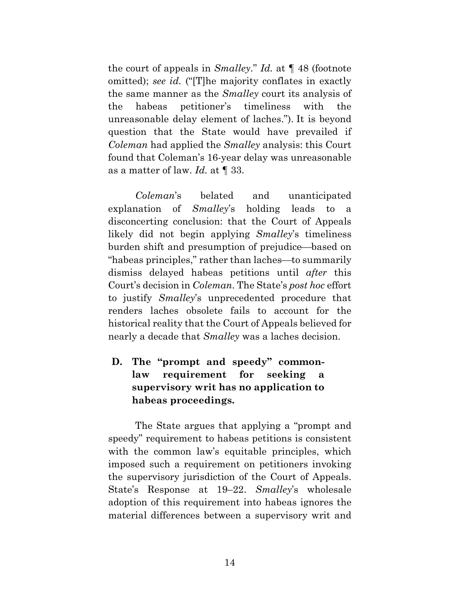the court of appeals in *Smalley*." *Id.* at ¶ 48 (footnote omitted); *see id.* ("[T]he majority conflates in exactly the same manner as the *Smalley* court its analysis of the habeas petitioner's timeliness with the unreasonable delay element of laches."). It is beyond question that the State would have prevailed if *Coleman* had applied the *Smalley* analysis: this Court found that Coleman's 16-year delay was unreasonable as a matter of law. *Id.* at ¶ 33.

*Coleman*'s belated and unanticipated explanation of *Smalley*'s holding leads to a disconcerting conclusion: that the Court of Appeals likely did not begin applying *Smalley*'s timeliness burden shift and presumption of prejudice—based on "habeas principles," rather than laches—to summarily dismiss delayed habeas petitions until *after* this Court's decision in *Coleman*. The State's *post hoc* effort to justify *Smalley*'s unprecedented procedure that renders laches obsolete fails to account for the historical reality that the Court of Appeals believed for nearly a decade that *Smalley* was a laches decision.

**D. The "prompt and speedy" commonlaw requirement for seeking a supervisory writ has no application to habeas proceedings.** 

The State argues that applying a "prompt and speedy" requirement to habeas petitions is consistent with the common law's equitable principles, which imposed such a requirement on petitioners invoking the supervisory jurisdiction of the Court of Appeals. State's Response at 19–22. *Smalley*'s wholesale adoption of this requirement into habeas ignores the material differences between a supervisory writ and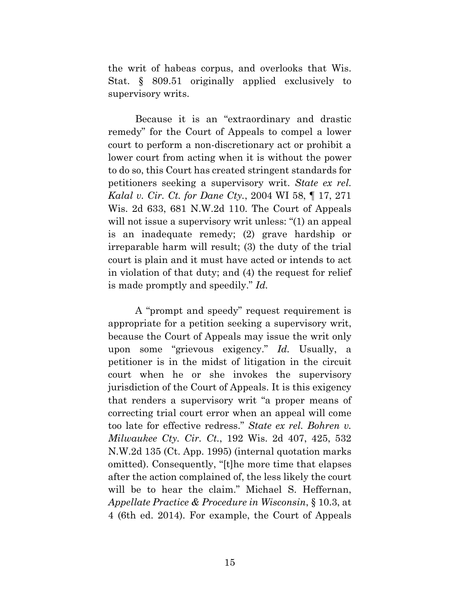the writ of habeas corpus, and overlooks that Wis. Stat. § 809.51 originally applied exclusively to supervisory writs.

Because it is an "extraordinary and drastic remedy" for the Court of Appeals to compel a lower court to perform a non-discretionary act or prohibit a lower court from acting when it is without the power to do so, this Court has created stringent standards for petitioners seeking a supervisory writ. *State ex rel. Kalal v. Cir. Ct. for Dane Cty.*, 2004 WI 58, ¶ 17, 271 Wis. 2d 633, 681 N.W.2d 110. The Court of Appeals will not issue a supervisory writ unless: "(1) an appeal is an inadequate remedy; (2) grave hardship or irreparable harm will result; (3) the duty of the trial court is plain and it must have acted or intends to act in violation of that duty; and (4) the request for relief is made promptly and speedily." *Id.*

A "prompt and speedy" request requirement is appropriate for a petition seeking a supervisory writ, because the Court of Appeals may issue the writ only upon some "grievous exigency." *Id.* Usually, a petitioner is in the midst of litigation in the circuit court when he or she invokes the supervisory jurisdiction of the Court of Appeals. It is this exigency that renders a supervisory writ "a proper means of correcting trial court error when an appeal will come too late for effective redress." *State ex rel. Bohren v. Milwaukee Cty. Cir. Ct.*, 192 Wis. 2d 407, 425, 532 N.W.2d 135 (Ct. App. 1995) (internal quotation marks omitted). Consequently, "[t]he more time that elapses after the action complained of, the less likely the court will be to hear the claim." Michael S. Heffernan, *Appellate Practice & Procedure in Wisconsin*, § 10.3, at 4 (6th ed. 2014). For example, the Court of Appeals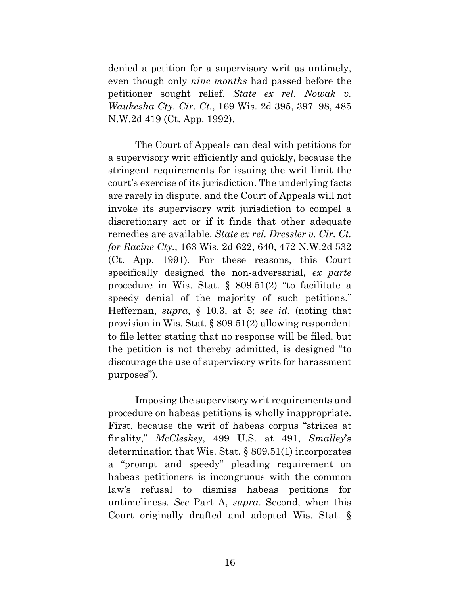denied a petition for a supervisory writ as untimely, even though only *nine months* had passed before the petitioner sought relief. *State ex rel. Nowak v. Waukesha Cty. Cir. Ct.*, 169 Wis. 2d 395, 397–98, 485 N.W.2d 419 (Ct. App. 1992).

The Court of Appeals can deal with petitions for a supervisory writ efficiently and quickly, because the stringent requirements for issuing the writ limit the court's exercise of its jurisdiction. The underlying facts are rarely in dispute, and the Court of Appeals will not invoke its supervisory writ jurisdiction to compel a discretionary act or if it finds that other adequate remedies are available. *State ex rel. Dressler v. Cir. Ct. for Racine Cty.*, 163 Wis. 2d 622, 640, 472 N.W.2d 532 (Ct. App. 1991). For these reasons, this Court specifically designed the non-adversarial, *ex parte* procedure in Wis. Stat. § 809.51(2) "to facilitate a speedy denial of the majority of such petitions." Heffernan, *supra*, § 10.3, at 5; *see id.* (noting that provision in Wis. Stat. § 809.51(2) allowing respondent to file letter stating that no response will be filed, but the petition is not thereby admitted, is designed "to discourage the use of supervisory writs for harassment purposes").

Imposing the supervisory writ requirements and procedure on habeas petitions is wholly inappropriate. First, because the writ of habeas corpus "strikes at finality," *McCleskey*, 499 U.S. at 491, *Smalley*'s determination that Wis. Stat. § 809.51(1) incorporates a "prompt and speedy" pleading requirement on habeas petitioners is incongruous with the common law's refusal to dismiss habeas petitions for untimeliness. *See* Part A, *supra*. Second, when this Court originally drafted and adopted Wis. Stat. §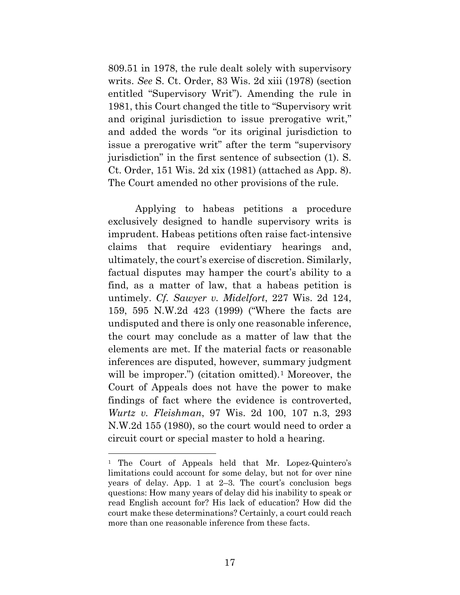809.51 in 1978, the rule dealt solely with supervisory writs. *See* S. Ct. Order, 83 Wis. 2d xiii (1978) (section entitled "Supervisory Writ"). Amending the rule in 1981, this Court changed the title to "Supervisory writ and original jurisdiction to issue prerogative writ," and added the words "or its original jurisdiction to issue a prerogative writ" after the term "supervisory jurisdiction" in the first sentence of subsection (1). S. Ct. Order, 151 Wis. 2d xix (1981) (attached as App. 8). The Court amended no other provisions of the rule.

Applying to habeas petitions a procedure exclusively designed to handle supervisory writs is imprudent. Habeas petitions often raise fact-intensive claims that require evidentiary hearings and, ultimately, the court's exercise of discretion. Similarly, factual disputes may hamper the court's ability to a find, as a matter of law, that a habeas petition is untimely. *Cf. Sawyer v. Midelfort*, 227 Wis. 2d 124, 159, 595 N.W.2d 423 (1999) ("Where the facts are undisputed and there is only one reasonable inference, the court may conclude as a matter of law that the elements are met. If the material facts or reasonable inferences are disputed, however, summary judgment will be improper.") (citation omitted).<sup>[1](#page-24-0)</sup> Moreover, the Court of Appeals does not have the power to make findings of fact where the evidence is controverted, *Wurtz v. Fleishman*, 97 Wis. 2d 100, 107 n.3, 293 N.W.2d 155 (1980), so the court would need to order a circuit court or special master to hold a hearing.

 $\overline{a}$ 

<span id="page-24-0"></span><sup>1</sup> The Court of Appeals held that Mr. Lopez-Quintero's limitations could account for some delay, but not for over nine years of delay. App. 1 at 2–3. The court's conclusion begs questions: How many years of delay did his inability to speak or read English account for? His lack of education? How did the court make these determinations? Certainly, a court could reach more than one reasonable inference from these facts.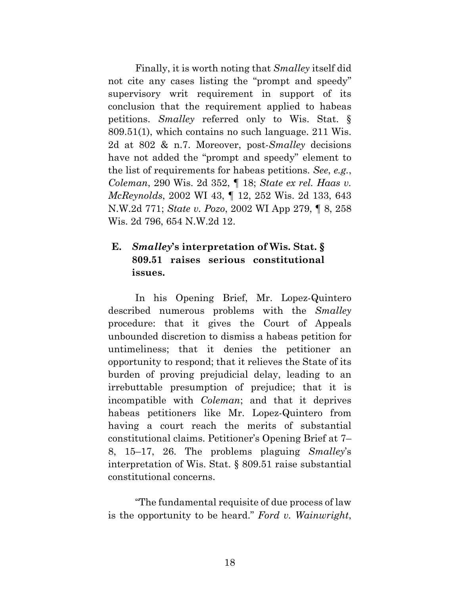Finally, it is worth noting that *Smalley* itself did not cite any cases listing the "prompt and speedy" supervisory writ requirement in support of its conclusion that the requirement applied to habeas petitions. *Smalley* referred only to Wis. Stat. § 809.51(1), which contains no such language. 211 Wis. 2d at 802 & n.7. Moreover, post-*Smalley* decisions have not added the "prompt and speedy" element to the list of requirements for habeas petitions. *See*, *e.g.*, *Coleman*, 290 Wis. 2d 352, ¶ 18; *State ex rel. Haas v. McReynolds*, 2002 WI 43, ¶ 12, 252 Wis. 2d 133, 643 N.W.2d 771; *State v. Pozo*, 2002 WI App 279, ¶ 8, 258 Wis. 2d 796, 654 N.W.2d 12.

# **E.** *Smalley***'s interpretation of Wis. Stat. § 809.51 raises serious constitutional issues.**

In his Opening Brief, Mr. Lopez-Quintero described numerous problems with the *Smalley* procedure: that it gives the Court of Appeals unbounded discretion to dismiss a habeas petition for untimeliness; that it denies the petitioner an opportunity to respond; that it relieves the State of its burden of proving prejudicial delay, leading to an irrebuttable presumption of prejudice; that it is incompatible with *Coleman*; and that it deprives habeas petitioners like Mr. Lopez-Quintero from having a court reach the merits of substantial constitutional claims. Petitioner's Opening Brief at 7– 8, 15–17, 26. The problems plaguing *Smalley*'s interpretation of Wis. Stat. § 809.51 raise substantial constitutional concerns.

"The fundamental requisite of due process of law is the opportunity to be heard." *Ford v. Wainwright*,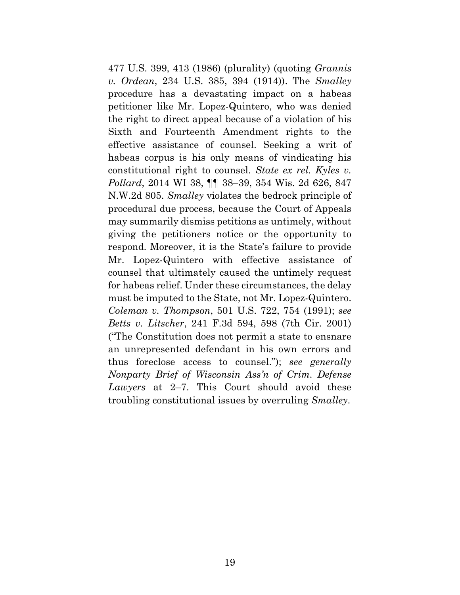477 U.S. 399, 413 (1986) (plurality) (quoting *Grannis v. Ordean*, 234 U.S. 385, 394 (1914)). The *Smalley* procedure has a devastating impact on a habeas petitioner like Mr. Lopez-Quintero, who was denied the right to direct appeal because of a violation of his Sixth and Fourteenth Amendment rights to the effective assistance of counsel. Seeking a writ of habeas corpus is his only means of vindicating his constitutional right to counsel. *State ex rel. Kyles v. Pollard*, 2014 WI 38, ¶¶ 38–39, 354 Wis. 2d 626, 847 N.W.2d 805. *Smalley* violates the bedrock principle of procedural due process, because the Court of Appeals may summarily dismiss petitions as untimely, without giving the petitioners notice or the opportunity to respond. Moreover, it is the State's failure to provide Mr. Lopez-Quintero with effective assistance of counsel that ultimately caused the untimely request for habeas relief. Under these circumstances, the delay must be imputed to the State, not Mr. Lopez-Quintero. *Coleman v. Thompson*, 501 U.S. 722, 754 (1991); *see Betts v. Litscher*, 241 F.3d 594, 598 (7th Cir. 2001) ("The Constitution does not permit a state to ensnare an unrepresented defendant in his own errors and thus foreclose access to counsel."); *see generally Nonparty Brief of Wisconsin Ass'n of Crim. Defense Lawyers* at 2–7. This Court should avoid these troubling constitutional issues by overruling *Smalley*.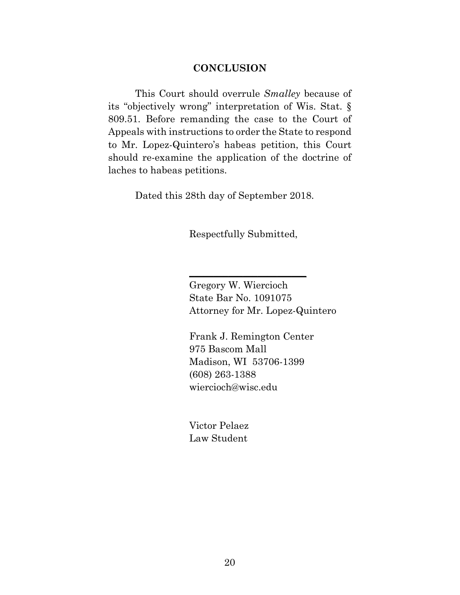#### **CONCLUSION**

This Court should overrule *Smalley* because of its "objectively wrong" interpretation of Wis. Stat. § 809.51. Before remanding the case to the Court of Appeals with instructions to order the State to respond to Mr. Lopez-Quintero's habeas petition, this Court should re-examine the application of the doctrine of laches to habeas petitions.

Dated this 28th day of September 2018.

Respectfully Submitted,

 $\frac{1}{2}$  ,  $\frac{1}{2}$  ,  $\frac{1}{2}$  ,  $\frac{1}{2}$  ,  $\frac{1}{2}$  ,  $\frac{1}{2}$  ,  $\frac{1}{2}$  ,  $\frac{1}{2}$  ,  $\frac{1}{2}$  ,  $\frac{1}{2}$  ,  $\frac{1}{2}$  ,  $\frac{1}{2}$  ,  $\frac{1}{2}$  ,  $\frac{1}{2}$  ,  $\frac{1}{2}$  ,  $\frac{1}{2}$  ,  $\frac{1}{2}$  ,  $\frac{1}{2}$  ,  $\frac{1$ 

Gregory W. Wiercioch State Bar No. 1091075 Attorney for Mr. Lopez-Quintero

Frank J. Remington Center 975 Bascom Mall Madison, WI 53706-1399 (608) 263-1388 wiercioch@wisc.edu

Victor Pelaez Law Student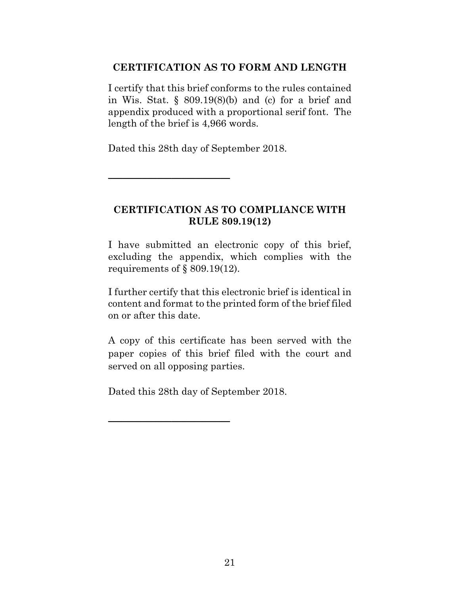### **CERTIFICATION AS TO FORM AND LENGTH**

I certify that this brief conforms to the rules contained in Wis. Stat.  $\S$  809.19(8)(b) and (c) for a brief and appendix produced with a proportional serif font. The length of the brief is 4,966 words.

Dated this 28th day of September 2018.

\_\_\_\_\_\_\_\_\_\_\_\_\_\_\_\_\_\_\_\_\_\_\_\_\_

# **CERTIFICATION AS TO COMPLIANCE WITH RULE 809.19(12)**

I have submitted an electronic copy of this brief, excluding the appendix, which complies with the requirements of § 809.19(12).

I further certify that this electronic brief is identical in content and format to the printed form of the brief filed on or after this date.

A copy of this certificate has been served with the paper copies of this brief filed with the court and served on all opposing parties.

Dated this 28th day of September 2018.

 $\overline{\phantom{a}}$  , which is a set of the set of the set of the set of the set of the set of the set of the set of the set of the set of the set of the set of the set of the set of the set of the set of the set of the set of th